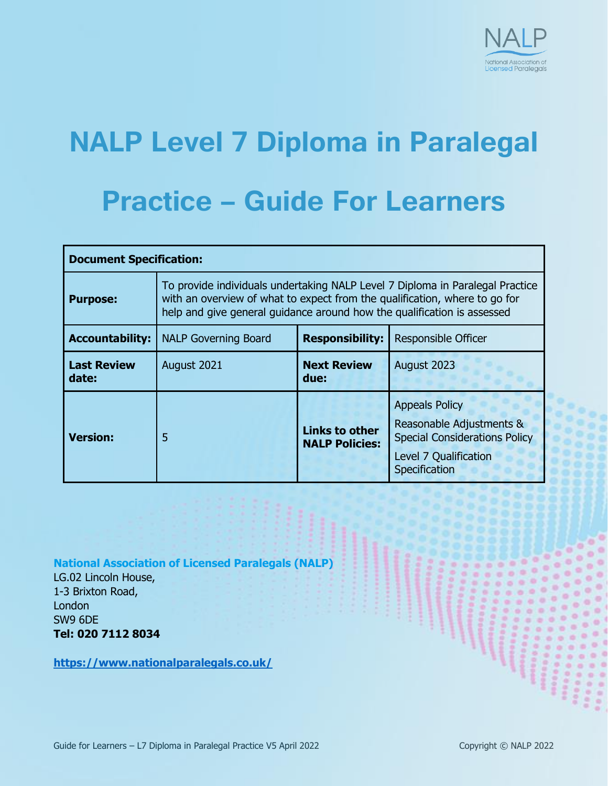

# **NALP Level 7 Diploma in Paralegal**

### **Practice – Guide For Learners**

| <b>Document Specification:</b> |                                                                                                                                                                                                                                        |                                                |                                                                                                                                     |  |  |  |  |  |
|--------------------------------|----------------------------------------------------------------------------------------------------------------------------------------------------------------------------------------------------------------------------------------|------------------------------------------------|-------------------------------------------------------------------------------------------------------------------------------------|--|--|--|--|--|
| <b>Purpose:</b>                | To provide individuals undertaking NALP Level 7 Diploma in Paralegal Practice<br>with an overview of what to expect from the qualification, where to go for<br>help and give general guidance around how the qualification is assessed |                                                |                                                                                                                                     |  |  |  |  |  |
| <b>Accountability:</b>         | <b>NALP Governing Board</b>                                                                                                                                                                                                            | <b>Responsibility:</b>                         | Responsible Officer                                                                                                                 |  |  |  |  |  |
| <b>Last Review</b><br>date:    | August 2021                                                                                                                                                                                                                            | <b>Next Review</b><br>due:                     | August 2023                                                                                                                         |  |  |  |  |  |
| <b>Version:</b>                | 5                                                                                                                                                                                                                                      | <b>Links to other</b><br><b>NALP Policies:</b> | <b>Appeals Policy</b><br>Reasonable Adjustments &<br><b>Special Considerations Policy</b><br>Level 7 Qualification<br>Specification |  |  |  |  |  |

**National Association of Licensed Paralegals (NALP)**

LG.02 Lincoln House, 1-3 Brixton Road, **London** SW9 6DE **Tel: 020 7112 8034**

**<https://www.nationalparalegals.co.uk/>**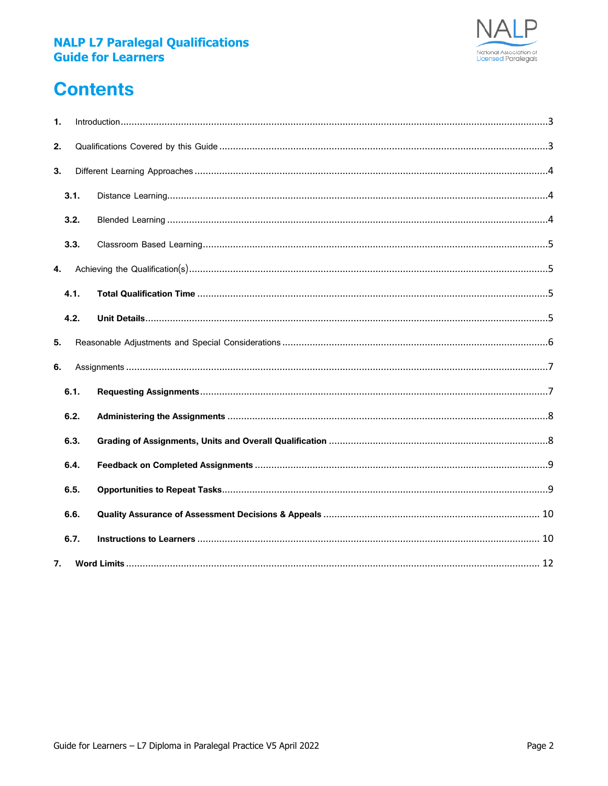

### **Contents**

| 1.   |      |  | $\small \textsf{Introduction} \normalsize \dots \normalsize \dots \normalsize \dots \normalsize \dots \normalsize \dots \normalsize \dots \normalsize \dots \normalsize \dots \normalsize \dots \normalsize \dots \normalsize \dots \normalsize \dots \normalsize \dots \normalsize \dots \normalsize \dots \normalsize \dots \normalsize \dots \normalsize \dots \normalsize \dots \normalsize \dots \normalsize \dots \normalsize \dots \normalsize \dots \normalsize \dots \normalsize \dots \normalsize \dots \normalsize \dots \normalsize \dots \normalsize \dots \normalsize \dots \normalsize \dots \normalsize \dots \normalsize \dots \normalsize \dots \normalsize \dots \norm$ |  |  |  |  |  |
|------|------|--|--------------------------------------------------------------------------------------------------------------------------------------------------------------------------------------------------------------------------------------------------------------------------------------------------------------------------------------------------------------------------------------------------------------------------------------------------------------------------------------------------------------------------------------------------------------------------------------------------------------------------------------------------------------------------------------------|--|--|--|--|--|
| 2.   |      |  |                                                                                                                                                                                                                                                                                                                                                                                                                                                                                                                                                                                                                                                                                            |  |  |  |  |  |
| 3.   |      |  |                                                                                                                                                                                                                                                                                                                                                                                                                                                                                                                                                                                                                                                                                            |  |  |  |  |  |
|      | 3.1. |  |                                                                                                                                                                                                                                                                                                                                                                                                                                                                                                                                                                                                                                                                                            |  |  |  |  |  |
|      | 3.2. |  |                                                                                                                                                                                                                                                                                                                                                                                                                                                                                                                                                                                                                                                                                            |  |  |  |  |  |
|      | 3.3. |  |                                                                                                                                                                                                                                                                                                                                                                                                                                                                                                                                                                                                                                                                                            |  |  |  |  |  |
| 4.   |      |  |                                                                                                                                                                                                                                                                                                                                                                                                                                                                                                                                                                                                                                                                                            |  |  |  |  |  |
|      | 4.1. |  |                                                                                                                                                                                                                                                                                                                                                                                                                                                                                                                                                                                                                                                                                            |  |  |  |  |  |
|      | 4.2. |  |                                                                                                                                                                                                                                                                                                                                                                                                                                                                                                                                                                                                                                                                                            |  |  |  |  |  |
| 5.   |      |  |                                                                                                                                                                                                                                                                                                                                                                                                                                                                                                                                                                                                                                                                                            |  |  |  |  |  |
| 6.   |      |  |                                                                                                                                                                                                                                                                                                                                                                                                                                                                                                                                                                                                                                                                                            |  |  |  |  |  |
|      | 6.1. |  |                                                                                                                                                                                                                                                                                                                                                                                                                                                                                                                                                                                                                                                                                            |  |  |  |  |  |
|      | 6.2. |  |                                                                                                                                                                                                                                                                                                                                                                                                                                                                                                                                                                                                                                                                                            |  |  |  |  |  |
| 6.3. |      |  |                                                                                                                                                                                                                                                                                                                                                                                                                                                                                                                                                                                                                                                                                            |  |  |  |  |  |
|      | 6.4. |  |                                                                                                                                                                                                                                                                                                                                                                                                                                                                                                                                                                                                                                                                                            |  |  |  |  |  |
|      | 6.5. |  |                                                                                                                                                                                                                                                                                                                                                                                                                                                                                                                                                                                                                                                                                            |  |  |  |  |  |
|      | 6.6. |  |                                                                                                                                                                                                                                                                                                                                                                                                                                                                                                                                                                                                                                                                                            |  |  |  |  |  |
|      | 6.7. |  |                                                                                                                                                                                                                                                                                                                                                                                                                                                                                                                                                                                                                                                                                            |  |  |  |  |  |
| 7.   |      |  |                                                                                                                                                                                                                                                                                                                                                                                                                                                                                                                                                                                                                                                                                            |  |  |  |  |  |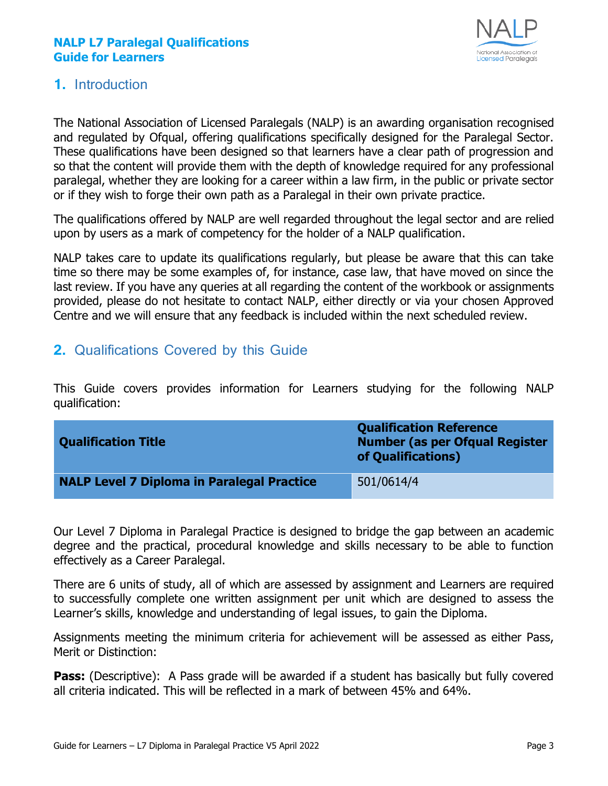

#### <span id="page-2-0"></span>**1.** Introduction

The National Association of Licensed Paralegals (NALP) is an awarding organisation recognised and regulated by Ofqual, offering qualifications specifically designed for the Paralegal Sector. These qualifications have been designed so that learners have a clear path of progression and so that the content will provide them with the depth of knowledge required for any professional paralegal, whether they are looking for a career within a law firm, in the public or private sector or if they wish to forge their own path as a Paralegal in their own private practice.

The qualifications offered by NALP are well regarded throughout the legal sector and are relied upon by users as a mark of competency for the holder of a NALP qualification.

NALP takes care to update its qualifications regularly, but please be aware that this can take time so there may be some examples of, for instance, case law, that have moved on since the last review. If you have any queries at all regarding the content of the workbook or assignments provided, please do not hesitate to contact NALP, either directly or via your chosen Approved Centre and we will ensure that any feedback is included within the next scheduled review.

#### <span id="page-2-1"></span>**2.** Qualifications Covered by this Guide

This Guide covers provides information for Learners studying for the following NALP qualification:

| <b>Qualification Title</b>                        | <b>Qualification Reference</b><br><b>Number (as per Ofqual Register</b><br>of Qualifications) |
|---------------------------------------------------|-----------------------------------------------------------------------------------------------|
| <b>NALP Level 7 Diploma in Paralegal Practice</b> | 501/0614/4                                                                                    |

Our Level 7 Diploma in Paralegal Practice is designed to bridge the gap between an academic degree and the practical, procedural knowledge and skills necessary to be able to function effectively as a Career Paralegal.

There are 6 units of study, all of which are assessed by assignment and Learners are required to successfully complete one written assignment per unit which are designed to assess the Learner's skills, knowledge and understanding of legal issues, to gain the Diploma.

Assignments meeting the minimum criteria for achievement will be assessed as either Pass, Merit or Distinction:

**Pass:** (Descriptive): A Pass grade will be awarded if a student has basically but fully covered all criteria indicated. This will be reflected in a mark of between 45% and 64%.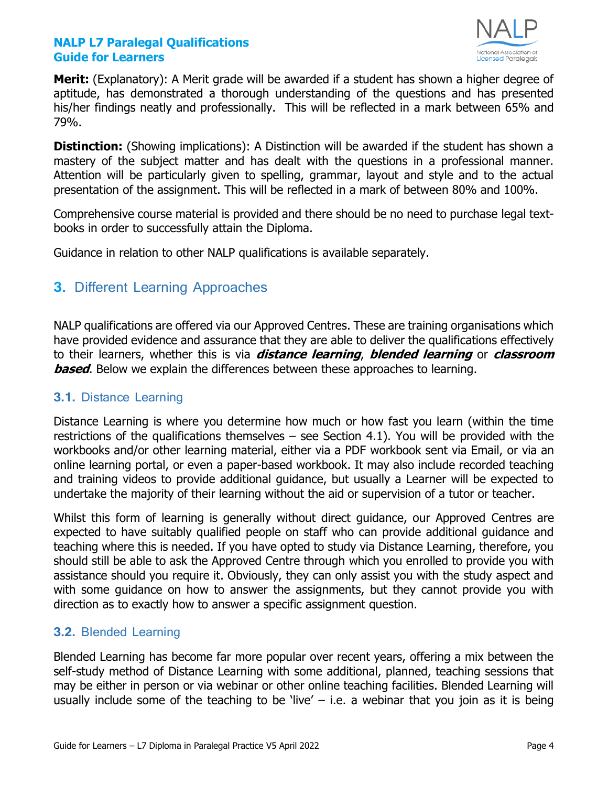

**Merit:** (Explanatory): A Merit grade will be awarded if a student has shown a higher degree of aptitude, has demonstrated a thorough understanding of the questions and has presented his/her findings neatly and professionally. This will be reflected in a mark between 65% and 79%.

**Distinction:** (Showing implications): A Distinction will be awarded if the student has shown a mastery of the subject matter and has dealt with the questions in a professional manner. Attention will be particularly given to spelling, grammar, layout and style and to the actual presentation of the assignment. This will be reflected in a mark of between 80% and 100%.

Comprehensive course material is provided and there should be no need to purchase legal textbooks in order to successfully attain the Diploma.

Guidance in relation to other NALP qualifications is available separately.

#### <span id="page-3-0"></span>**3.** Different Learning Approaches

NALP qualifications are offered via our Approved Centres. These are training organisations which have provided evidence and assurance that they are able to deliver the qualifications effectively to their learners, whether this is via **distance learning**, **blended learning** or **classroom based**. Below we explain the differences between these approaches to learning.

#### <span id="page-3-1"></span>**3.1.** Distance Learning

Distance Learning is where you determine how much or how fast you learn (within the time restrictions of the qualifications themselves – see Section 4.1). You will be provided with the workbooks and/or other learning material, either via a PDF workbook sent via Email, or via an online learning portal, or even a paper-based workbook. It may also include recorded teaching and training videos to provide additional guidance, but usually a Learner will be expected to undertake the majority of their learning without the aid or supervision of a tutor or teacher.

Whilst this form of learning is generally without direct guidance, our Approved Centres are expected to have suitably qualified people on staff who can provide additional guidance and teaching where this is needed. If you have opted to study via Distance Learning, therefore, you should still be able to ask the Approved Centre through which you enrolled to provide you with assistance should you require it. Obviously, they can only assist you with the study aspect and with some guidance on how to answer the assignments, but they cannot provide you with direction as to exactly how to answer a specific assignment question.

#### <span id="page-3-2"></span>**3.2.** Blended Learning

Blended Learning has become far more popular over recent years, offering a mix between the self-study method of Distance Learning with some additional, planned, teaching sessions that may be either in person or via webinar or other online teaching facilities. Blended Learning will usually include some of the teaching to be 'live'  $-$  i.e. a webinar that you join as it is being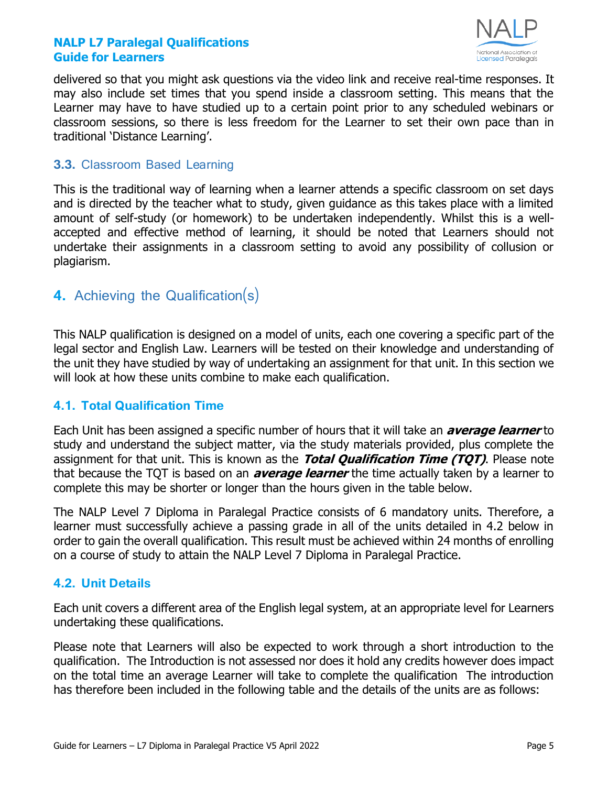

delivered so that you might ask questions via the video link and receive real-time responses. It may also include set times that you spend inside a classroom setting. This means that the Learner may have to have studied up to a certain point prior to any scheduled webinars or classroom sessions, so there is less freedom for the Learner to set their own pace than in traditional 'Distance Learning'.

#### <span id="page-4-0"></span>**3.3.** Classroom Based Learning

This is the traditional way of learning when a learner attends a specific classroom on set days and is directed by the teacher what to study, given guidance as this takes place with a limited amount of self-study (or homework) to be undertaken independently. Whilst this is a wellaccepted and effective method of learning, it should be noted that Learners should not undertake their assignments in a classroom setting to avoid any possibility of collusion or plagiarism.

#### <span id="page-4-1"></span>**4.** Achieving the Qualification(s)

This NALP qualification is designed on a model of units, each one covering a specific part of the legal sector and English Law. Learners will be tested on their knowledge and understanding of the unit they have studied by way of undertaking an assignment for that unit. In this section we will look at how these units combine to make each qualification.

#### <span id="page-4-2"></span>**4.1. Total Qualification Time**

Each Unit has been assigned a specific number of hours that it will take an **average learner** to study and understand the subject matter, via the study materials provided, plus complete the assignment for that unit. This is known as the **Total Qualification Time (TQT)**. Please note that because the TQT is based on an **average learner** the time actually taken by a learner to complete this may be shorter or longer than the hours given in the table below.

The NALP Level 7 Diploma in Paralegal Practice consists of 6 mandatory units. Therefore, a learner must successfully achieve a passing grade in all of the units detailed in 4.2 below in order to gain the overall qualification. This result must be achieved within 24 months of enrolling on a course of study to attain the NALP Level 7 Diploma in Paralegal Practice.

#### <span id="page-4-3"></span>**4.2. Unit Details**

Each unit covers a different area of the English legal system, at an appropriate level for Learners undertaking these qualifications.

Please note that Learners will also be expected to work through a short introduction to the qualification. The Introduction is not assessed nor does it hold any credits however does impact on the total time an average Learner will take to complete the qualification The introduction has therefore been included in the following table and the details of the units are as follows: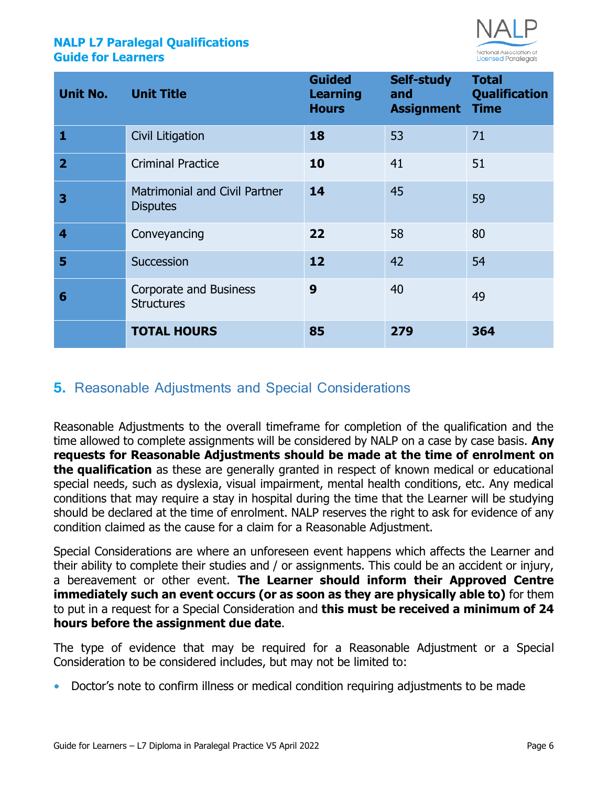

| <b>Unit No. Unit Title</b> |                                                         | <b>Guided</b><br><b>Learning</b><br><b>Hours</b> | Self-study<br>and<br><b>Assignment Time</b> | <b>Total</b><br><b>Qualification</b> |
|----------------------------|---------------------------------------------------------|--------------------------------------------------|---------------------------------------------|--------------------------------------|
| 1                          | Civil Litigation                                        | 18                                               | 53                                          | 71                                   |
| $\overline{2}$             | <b>Criminal Practice</b>                                | 10                                               | 41                                          | 51                                   |
| 3                          | <b>Matrimonial and Civil Partner</b><br><b>Disputes</b> | 14                                               | 45                                          | 59                                   |
| $\overline{\mathbf{4}}$    | Conveyancing                                            | 22                                               | 58                                          | 80                                   |
| 5                          | Succession                                              | 12                                               | 42                                          | 54                                   |
| 6                          | Corporate and Business<br><b>Structures</b>             | 9                                                | 40                                          | 49                                   |
|                            | <b>TOTAL HOURS</b>                                      | 85                                               | 279                                         | 364                                  |

#### <span id="page-5-0"></span>**5.** Reasonable Adjustments and Special Considerations

Reasonable Adjustments to the overall timeframe for completion of the qualification and the time allowed to complete assignments will be considered by NALP on a case by case basis. **Any requests for Reasonable Adjustments should be made at the time of enrolment on the qualification** as these are generally granted in respect of known medical or educational special needs, such as dyslexia, visual impairment, mental health conditions, etc. Any medical conditions that may require a stay in hospital during the time that the Learner will be studying should be declared at the time of enrolment. NALP reserves the right to ask for evidence of any condition claimed as the cause for a claim for a Reasonable Adjustment.

Special Considerations are where an unforeseen event happens which affects the Learner and their ability to complete their studies and / or assignments. This could be an accident or injury, a bereavement or other event. **The Learner should inform their Approved Centre immediately such an event occurs (or as soon as they are physically able to)** for them to put in a request for a Special Consideration and **this must be received a minimum of 24 hours before the assignment due date**.

The type of evidence that may be required for a Reasonable Adjustment or a Special Consideration to be considered includes, but may not be limited to:

**•** Doctor's note to confirm illness or medical condition requiring adjustments to be made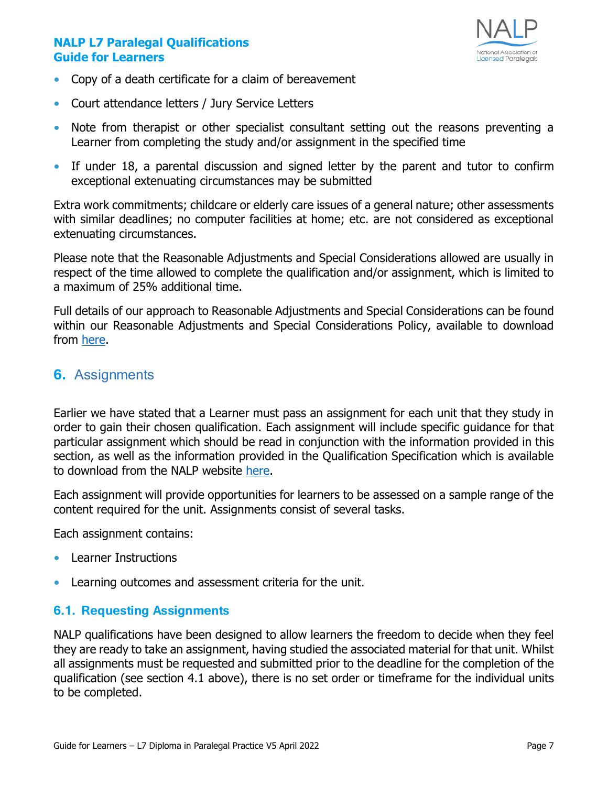

- **•** Copy of a death certificate for a claim of bereavement
- **•** Court attendance letters / Jury Service Letters
- **•** Note from therapist or other specialist consultant setting out the reasons preventing a Learner from completing the study and/or assignment in the specified time
- **•** If under 18, a parental discussion and signed letter by the parent and tutor to confirm exceptional extenuating circumstances may be submitted

Extra work commitments; childcare or elderly care issues of a general nature; other assessments with similar deadlines; no computer facilities at home; etc. are not considered as exceptional extenuating circumstances.

Please note that the Reasonable Adjustments and Special Considerations allowed are usually in respect of the time allowed to complete the qualification and/or assignment, which is limited to a maximum of 25% additional time.

Full details of our approach to Reasonable Adjustments and Special Considerations can be found within our Reasonable Adjustments and Special Considerations Policy, available to download from [here.](https://www.nationalparalegals.co.uk/nalp_policies_procedures)

#### <span id="page-6-0"></span>**6.** Assignments

Earlier we have stated that a Learner must pass an assignment for each unit that they study in order to gain their chosen qualification. Each assignment will include specific guidance for that particular assignment which should be read in conjunction with the information provided in this section, as well as the information provided in the Qualification Specification which is available to download from the NALP website [here.](https://www.nationalparalegals.co.uk/level-diploma-qualification-specification-2)

Each assignment will provide opportunities for learners to be assessed on a sample range of the content required for the unit. Assignments consist of several tasks.

Each assignment contains:

- **•** Learner Instructions
- **•** Learning outcomes and assessment criteria for the unit.

#### <span id="page-6-1"></span>**6.1. Requesting Assignments**

NALP qualifications have been designed to allow learners the freedom to decide when they feel they are ready to take an assignment, having studied the associated material for that unit. Whilst all assignments must be requested and submitted prior to the deadline for the completion of the qualification (see section 4.1 above), there is no set order or timeframe for the individual units to be completed.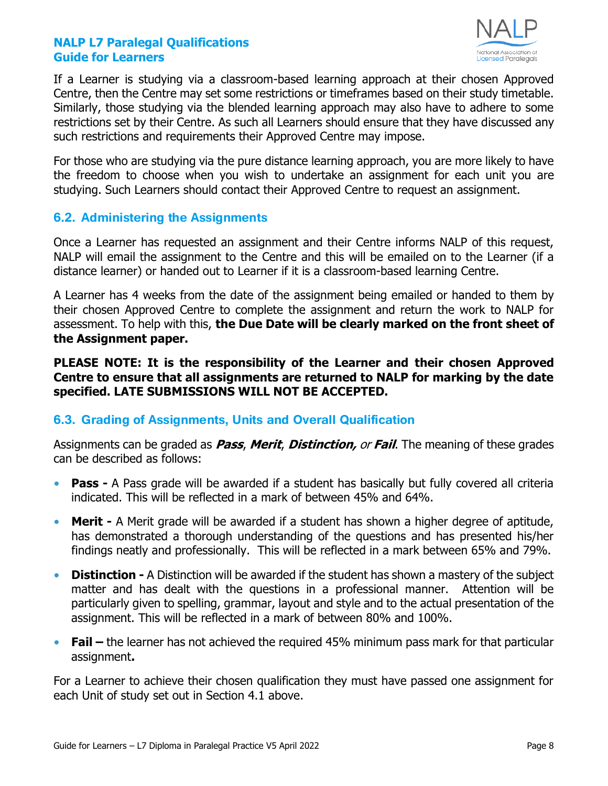

If a Learner is studying via a classroom-based learning approach at their chosen Approved Centre, then the Centre may set some restrictions or timeframes based on their study timetable. Similarly, those studying via the blended learning approach may also have to adhere to some restrictions set by their Centre. As such all Learners should ensure that they have discussed any such restrictions and requirements their Approved Centre may impose.

For those who are studying via the pure distance learning approach, you are more likely to have the freedom to choose when you wish to undertake an assignment for each unit you are studying. Such Learners should contact their Approved Centre to request an assignment.

#### <span id="page-7-0"></span>**6.2. Administering the Assignments**

Once a Learner has requested an assignment and their Centre informs NALP of this request, NALP will email the assignment to the Centre and this will be emailed on to the Learner (if a distance learner) or handed out to Learner if it is a classroom-based learning Centre.

A Learner has 4 weeks from the date of the assignment being emailed or handed to them by their chosen Approved Centre to complete the assignment and return the work to NALP for assessment. To help with this, **the Due Date will be clearly marked on the front sheet of the Assignment paper.**

**PLEASE NOTE: It is the responsibility of the Learner and their chosen Approved Centre to ensure that all assignments are returned to NALP for marking by the date specified. LATE SUBMISSIONS WILL NOT BE ACCEPTED.**

#### <span id="page-7-1"></span>**6.3. Grading of Assignments, Units and Overall Qualification**

Assignments can be graded as **Pass**, **Merit**, **Distinction,** or **Fail**. The meaning of these grades can be described as follows:

- **• Pass -** A Pass grade will be awarded if a student has basically but fully covered all criteria indicated. This will be reflected in a mark of between 45% and 64%.
- **• Merit -** A Merit grade will be awarded if a student has shown a higher degree of aptitude, has demonstrated a thorough understanding of the questions and has presented his/her findings neatly and professionally. This will be reflected in a mark between 65% and 79%.
- **• Distinction -** A Distinction will be awarded if the student has shown a mastery of the subject matter and has dealt with the questions in a professional manner. Attention will be particularly given to spelling, grammar, layout and style and to the actual presentation of the assignment. This will be reflected in a mark of between 80% and 100%.
- **Fail** the learner has not achieved the required 45% minimum pass mark for that particular assignment**.**

For a Learner to achieve their chosen qualification they must have passed one assignment for each Unit of study set out in Section 4.1 above.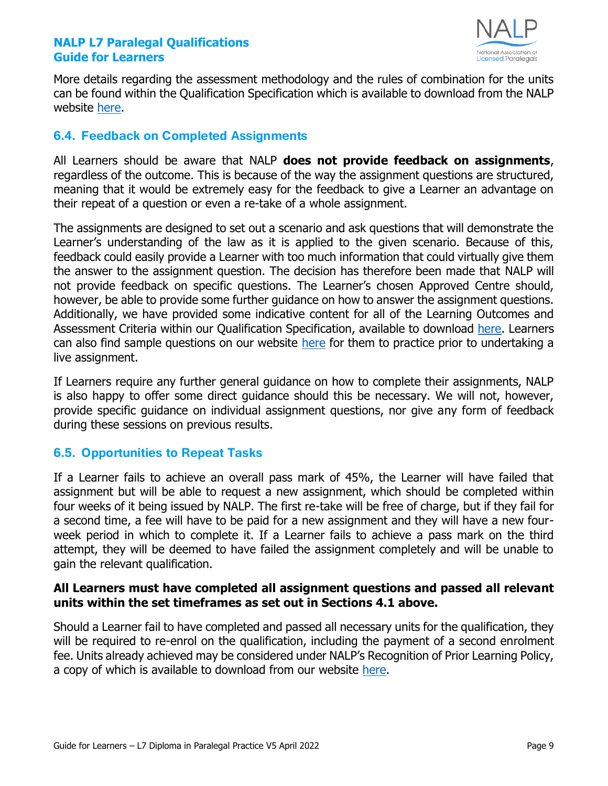

More details regarding the assessment methodology and the rules of combination for the units can be found within the Qualification Specification which is available to download from the NALP website [here.](https://www.nationalparalegals.co.uk/level-diploma-qualification-specification-2)

#### <span id="page-8-0"></span>**6.4. Feedback on Completed Assignments**

All Learners should be aware that NALP **does not provide feedback on assignments**, regardless of the outcome. This is because of the way the assignment questions are structured, meaning that it would be extremely easy for the feedback to give a Learner an advantage on their repeat of a question or even a re-take of a whole assignment.

The assignments are designed to set out a scenario and ask questions that will demonstrate the Learner's understanding of the law as it is applied to the given scenario. Because of this, feedback could easily provide a Learner with too much information that could virtually give them the answer to the assignment question. The decision has therefore been made that NALP will not provide feedback on specific questions. The Learner's chosen Approved Centre should, however, be able to provide some further guidance on how to answer the assignment questions. Additionally, we have provided some indicative content for all of the Learning Outcomes and Assessment Criteria within our Qualification Specification, available to download [here.](https://www.nationalparalegals.co.uk/level-diploma-qualification-specification-2) Learners can also find sample questions on our website [here](https://cdn2.buildcms.co.uk/02d9y74y5g84/files/L7-sample-questions-v2.pdf) for them to practice prior to undertaking a live assignment.

If Learners require any further general guidance on how to complete their assignments, NALP is also happy to offer some direct guidance should this be necessary. We will not, however, provide specific guidance on individual assignment questions, nor give any form of feedback during these sessions on previous results.

#### <span id="page-8-1"></span>**6.5. Opportunities to Repeat Tasks**

If a Learner fails to achieve an overall pass mark of 45%, the Learner will have failed that assignment but will be able to request a new assignment, which should be completed within four weeks of it being issued by NALP. The first re-take will be free of charge, but if they fail for a second time, a fee will have to be paid for a new assignment and they will have a new fourweek period in which to complete it. If a Learner fails to achieve a pass mark on the third attempt, they will be deemed to have failed the assignment completely and will be unable to gain the relevant qualification.

#### **All Learners must have completed all assignment questions and passed all relevant units within the set timeframes as set out in Sections 4.1 above.**

Should a Learner fail to have completed and passed all necessary units for the qualification, they will be required to re-enrol on the qualification, including the payment of a second enrolment fee. Units already achieved may be considered under NALP's Recognition of Prior Learning Policy, a copy of which is available to download from our website [here.](https://www.nationalparalegals.co.uk/nalp_policies_procedures)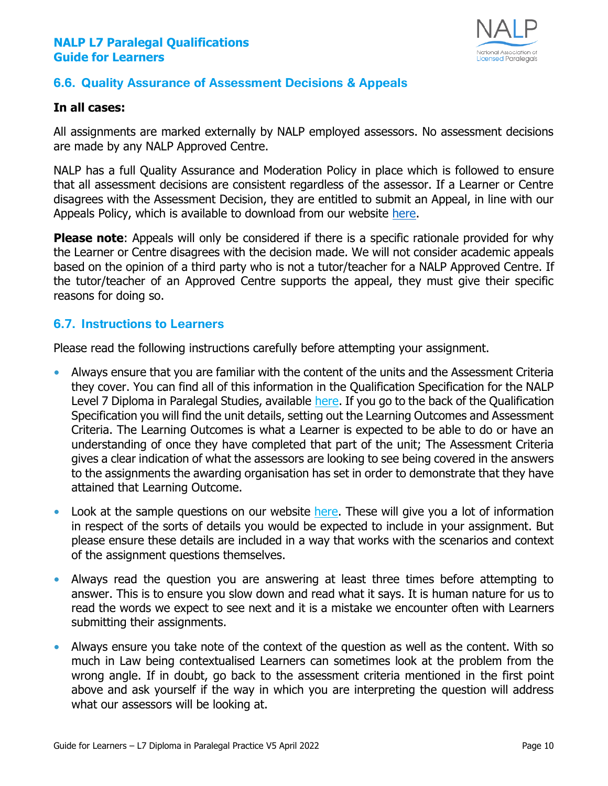

#### <span id="page-9-0"></span>**6.6. Quality Assurance of Assessment Decisions & Appeals**

#### **In all cases:**

All assignments are marked externally by NALP employed assessors. No assessment decisions are made by any NALP Approved Centre.

NALP has a full Quality Assurance and Moderation Policy in place which is followed to ensure that all assessment decisions are consistent regardless of the assessor. If a Learner or Centre disagrees with the Assessment Decision, they are entitled to submit an Appeal, in line with our Appeals Policy, which is available to download from our website [here.](https://www.nationalparalegals.co.uk/nalp_policies_procedures)

**Please note:** Appeals will only be considered if there is a specific rationale provided for why the Learner or Centre disagrees with the decision made. We will not consider academic appeals based on the opinion of a third party who is not a tutor/teacher for a NALP Approved Centre. If the tutor/teacher of an Approved Centre supports the appeal, they must give their specific reasons for doing so.

#### <span id="page-9-1"></span>**6.7. Instructions to Learners**

Please read the following instructions carefully before attempting your assignment.

- **•** Always ensure that you are familiar with the content of the units and the Assessment Criteria they cover. You can find all of this information in the Qualification Specification for the NALP Level 7 Diploma in Paralegal Studies, available [here.](https://www.nationalparalegals.co.uk/level-diploma-qualification-specification-2) If you go to the back of the Qualification Specification you will find the unit details, setting out the Learning Outcomes and Assessment Criteria. The Learning Outcomes is what a Learner is expected to be able to do or have an understanding of once they have completed that part of the unit; The Assessment Criteria gives a clear indication of what the assessors are looking to see being covered in the answers to the assignments the awarding organisation has set in order to demonstrate that they have attained that Learning Outcome.
- Look at the sample questions on our website [here.](https://cdn2.buildcms.co.uk/02d9y74y5g84/files/L7-sample-questions-v2.pdf) These will give you a lot of information in respect of the sorts of details you would be expected to include in your assignment. But please ensure these details are included in a way that works with the scenarios and context of the assignment questions themselves.
- **•** Always read the question you are answering at least three times before attempting to answer. This is to ensure you slow down and read what it says. It is human nature for us to read the words we expect to see next and it is a mistake we encounter often with Learners submitting their assignments.
- **•** Always ensure you take note of the context of the question as well as the content. With so much in Law being contextualised Learners can sometimes look at the problem from the wrong angle. If in doubt, go back to the assessment criteria mentioned in the first point above and ask yourself if the way in which you are interpreting the question will address what our assessors will be looking at.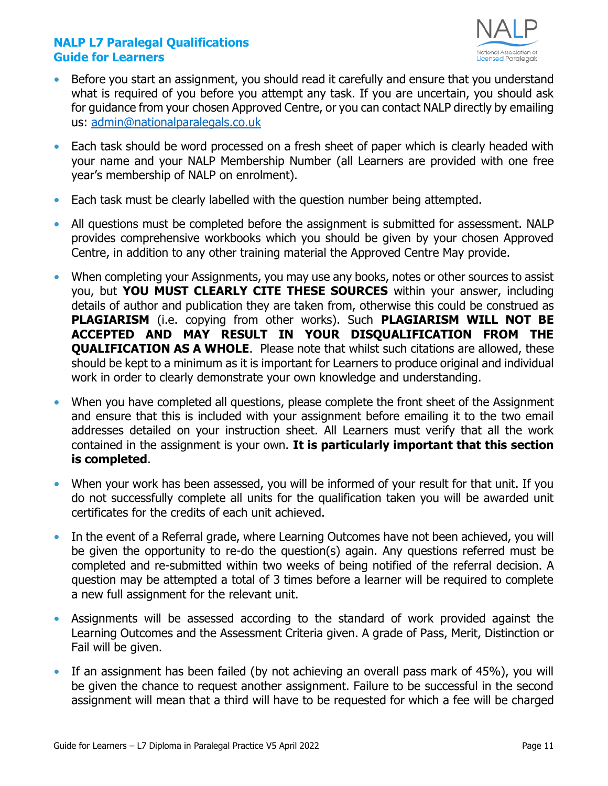

- **•** Before you start an assignment, you should read it carefully and ensure that you understand what is required of you before you attempt any task. If you are uncertain, you should ask for guidance from your chosen Approved Centre, or you can contact NALP directly by emailing us: [admin@nationalparalegals.co.uk](mailto:admin@nationalparalegals.co.uk)
- **•** Each task should be word processed on a fresh sheet of paper which is clearly headed with your name and your NALP Membership Number (all Learners are provided with one free year's membership of NALP on enrolment).
- **•** Each task must be clearly labelled with the question number being attempted.
- **•** All questions must be completed before the assignment is submitted for assessment. NALP provides comprehensive workbooks which you should be given by your chosen Approved Centre, in addition to any other training material the Approved Centre May provide.
- When completing your Assignments, you may use any books, notes or other sources to assist you, but **YOU MUST CLEARLY CITE THESE SOURCES** within your answer, including details of author and publication they are taken from, otherwise this could be construed as **PLAGIARISM** (i.e. copying from other works). Such **PLAGIARISM WILL NOT BE ACCEPTED AND MAY RESULT IN YOUR DISQUALIFICATION FROM THE QUALIFICATION AS A WHOLE.** Please note that whilst such citations are allowed, these should be kept to a minimum as it is important for Learners to produce original and individual work in order to clearly demonstrate your own knowledge and understanding.
- **•** When you have completed all questions, please complete the front sheet of the Assignment and ensure that this is included with your assignment before emailing it to the two email addresses detailed on your instruction sheet. All Learners must verify that all the work contained in the assignment is your own. **It is particularly important that this section is completed**.
- **•** When your work has been assessed, you will be informed of your result for that unit. If you do not successfully complete all units for the qualification taken you will be awarded unit certificates for the credits of each unit achieved.
- **•** In the event of a Referral grade, where Learning Outcomes have not been achieved, you will be given the opportunity to re-do the question(s) again. Any questions referred must be completed and re-submitted within two weeks of being notified of the referral decision. A question may be attempted a total of 3 times before a learner will be required to complete a new full assignment for the relevant unit.
- **•** Assignments will be assessed according to the standard of work provided against the Learning Outcomes and the Assessment Criteria given. A grade of Pass, Merit, Distinction or Fail will be given.
- **•** If an assignment has been failed (by not achieving an overall pass mark of 45%), you will be given the chance to request another assignment. Failure to be successful in the second assignment will mean that a third will have to be requested for which a fee will be charged